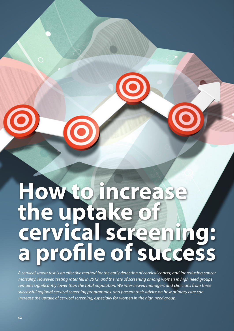# **How to increase the uptake of cervical screening: a profile of success**

*A cervical smear test is an effective method for the early detection of cervical cancer, and for reducing cancer mortality. However, testing rates fell in 2012, and the rate of screening among women in high need groups remains significantly lower than the total population. We interviewed managers and clinicians from three successful regional cervical screening programmes, and present their advice on how primary care can increase the uptake of cervical screening, especially for women in the high need group.*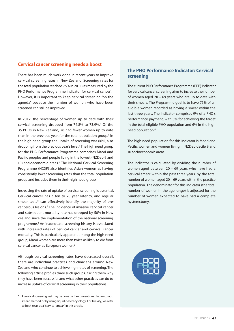### **Cervical cancer screening needs a boost**

There has been much work done in recent years to improve cervical screening rates in New Zealand. Screening rates for the total population reached 75% in 2011 (as measured by the PHO Performance Programme indicator for cervical cancer).<sup>1</sup> However, it is important to keep cervical screening "on the agenda" because the number of women who have been screened can still be improved.

In 2012, the percentage of women up to date with their cervical screening dropped from 74.8% to 73.9%.<sup>1</sup> Of the 35 PHOs in New Zealand, 28 had fewer women up to date than in the previous year, for the total population group.<sup>1</sup> In the high need group the uptake of screening was 66%, also dropping from the previous year's level.1 The high need group for the PHO Performance Programme comprises Māori and Pacific peoples and people living in the lowest (NZDep 9 and 10) socioeconomic areas.<sup>1</sup> The National Cervical Screening Programme (NCSP) also identifies Asian women as having consistently lower screening rates than the total population group and includes them in their high need group.

Increasing the rate of uptake of cervical screening is essential. Cervical cancer has a ten to 20 year latency, and regular smear tests\* can effectively identify the majority of precancerous lesions.<sup>2</sup> The incidence of invasive cervical cancer and subsequent mortality rate has dropped by 50% in New Zealand since the implementation of the national screening programme.<sup>2</sup> An inadequate screening history is associated with increased rates of cervical cancer and cervical cancer mortality. This is particularly apparent among the high need group; Māori women are more than twice as likely to die from cervical cancer as European women.3

Although cervical screening rates have decreased overall, there are individual practices and clinicians around New Zealand who continue to achieve high rates of screening. The following article profiles three such groups, asking them why they have been successful and what other practices can do to increase uptake of cervical screening in their populations.

# **The PHO Performance Indicator: Cervical screening**

The current PHO Performance Programme (PPP) indicator for cervical cancer screening aims to increase the number of women aged 20 – 69 years who are up to date with their smears. The Programme goal is to have 75% of all eligible women recorded as having a smear within the last three years. The indicator comprises 9% of a PHO's performance payment, with 3% for achieving the target in the total eligible PHO population and 6% in the high need population.4

The high need population for this indicator is Māori and Pacific women and women living in NZDep decile 9 and 10 socioeconomic areas.

The indicator is calculated by dividing the number of women aged between 20 – 69 years who have had a cervical smear within the past three years, by the total number of women aged 20 – 69 years within the practice population. The denominator for this indicator (the total number of women in the age range) is adjusted for the number of women expected to have had a complete hysterectomy.



<sup>\*</sup> A cervical screening test may be done by the conventional Papanicolaou smear method or by using liquid-based cytology. For brevity, we refer to both tests as a "cervical smear" in this article.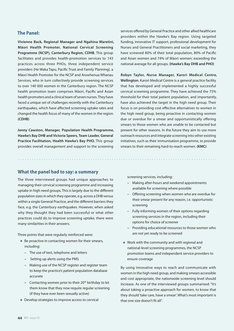# **The Panel:**

**Vivienne Back, Regional Manager and Ngahina Waretini, Māori Health Promoter, National Cervical Screening Programme (NCSP), Canterbury Region, CDHB.** This group facilitates and provides health-promotion services to 143 practices across three PHOs, three independent service providers (He Waka Tapu, Pacific Trust and Family Planning), a Māori Health Promoter for the NCSP and Arowhenua Whanau Services, who in turn collectively provide screening services to over 140 000 women in the Canterbury region. The NCSP health promotion team comprises Māori, Pacific and Asian health promoters and a clinical team of seven nurses. They have faced a unique set of challenges recently with the Canterbury earthquakes, which have affected screening uptake rates and changed the health focus of many of the women in the region. **(CDHB)**

**Jenny Cawston, Manager, Population Health Programme, Hawke's Bay DHB and Victoria Speers, Team Leader, General Practice Facilitation, Health Hawke's Bay PHO.** This group provides overall management and support to the screening

services offered by General Practice and other allied healthcare providers within the Hawke's Bay region. Using targeted funding, innovative IT support, professional development for Nurses and General Practitioners and social marketing, they have screened 80% of their total population, 80% of Pacific and Asian women and 74% of Māori women: exceeding the national average for all groups. **(Hawke's Bay DHB and PHO)**

**Robyn Taylor, Nurse Manager, Karori Medical Centre, Wellington.** Karori Medical Centre is a general practice facility that has developed and implemented a highly successful cervical screening programme. They have achieved the 75% threshold for their total patient population, and importantly, have also achieved the target in the high need group. Their focus is on providing cost effective alternatives to women in the high need group, being proactive in contacting women due or overdue for a smear and opportunistically offering smears to those women who are unable to be contacted but present for other reasons. In the future they aim to use more outreach resources and integrate screening into other existing initiatives, such as their immunisation programme, to provide smears to their remaining hard-to-reach women. **(KMC)**

#### **What the panel had to say: a summary**

The three interviewed groups had unique approaches to managing their cervical screening programme and increasing uptake in high need groups. This is largely due to the different population sizes in which they operate, e.g. across a DHB versus within a single General Practice, and the different barriers they face, e.g. the Canterbury earthquakes. However, when asked why they thought they had been successful or what other practices could do to improve screening uptake, there were many similarities in their answers.

Three points that were regularly reinforced were:

- Be proactive in contacting women for their smears, including:
	- The use of text, telephone and letters
	- Setting up alerts using the PMS
	- Making use of the NCSP register and register team to keep the practice's patient population database accurate
	- Contacting women prior to their  $20<sup>th</sup>$  birthday to let them know that they now require regular screening (if they have ever been sexually active)
- Develop strategies to improve access to cervical

screening services, including:

- Making after-hours and weekend appointments available for screening where possible
- Offering screening when women who are overdue for their smear present for any reason, i.e. opportunistic screening
- Fully informing women of their options regarding screening services in the region, including their options for choice of screener
- Providing educational resources to those women who are not yet ready to be screened
- Work with the community and with regional and national-level screening programmes, the NCSP promotion teams and independent service providers to ensure coverage

By using innovative ways to reach and communicate with women in the high need group, and making smears accessible and cost appropriate, the nationwide screening level should increase. As one of the interviewed groups summarised: "It's about taking a proactive approach for women, to know that they should 'take care, have a smear'. What's most important is that one size doesn't fit all".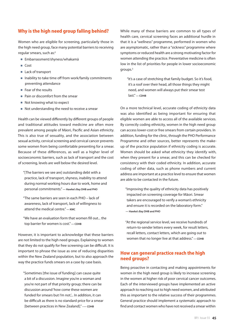# **Why is the high need group falling behind?**

Women who are eligible for screening, particularly those in the high need group, face many potential barriers to receiving regular smears, such as:<sup>5</sup>

- Embarrassment/shyness/whakamā
- Cost
- Lack of transport
- Inability to take time off from work/family commitments preventing attendance
- Fear of the results
- Pain or discomfort from the smear
- Not knowing what to expect
- Not understanding the need to receive a smear

Health can be viewed differently by different groups of people and traditional attitudes toward medicine are often more prevalent among people of Māori, Pacific and Asian ethnicity. This is also true of sexuality, and the association between sexual activity, cervical screening and cervical cancer prevents some women from being comfortable presenting for a smear. Because of these differences, as well as a higher level of socioeconomic barriers, such as lack of transport and the cost of screening, levels are well below the desired level.

"[The barriers we see are] outstanding debt with a practice, lack of transport, shyness, inability to attend during normal working hours due to work, home and personal commitments." **— Hawke's Bay DHB and PHO**

"The same barriers are seen in each PHO – lack of awareness, lack of transport, lack of willingness to attend the medical centre." **— KMC**

"We have an evaluation form that women fill out... the top barrier for women is cost." **— CDHB**

However, it is important to acknowledge that these barriers are not limited to the high need groups. Explaining to women that they do not qualify for free screening can be difficult. It is important to phrase the issue as one of reducing disparities within the New Zealand population, but to also approach the way the practice funds smears on a case by case basis.

"Sometimes [the issue of funding] can cause quite a bit of a discussion. Imagine you're a woman and you're not part of that priority group; there can be discussion around 'how come these women are funded for smears but I'm not... In addition, it can be difficult as there is no standard price for a smear [between practices in New Zealand]." **–— CDHB**

While many of these barriers are common to all types of health care, cervical screening faces an additional hurdle in that it is a "wellness" programme, performed in women who are asymptomatic, rather than a "sickness" programme where symptoms or reduced health are a strong motivating factor for women attending the practice. Preventative medicine is often low in the list of priorities for people in lower socioeconomic groups.3

"It's a case of stretching that family budget. So it's food, it's a roof over their head, all those things they might need, and women will always put their smear test last." **— CDHB**

On a more technical level, accurate coding of ethnicity data was also identified as being important for ensuring that eligible women are able to access all of the available services. By correctly coding ethnicity, women in the high need group can access lower-cost or free smears from certain providers. In addition, funding for the clinic, through the PHO Performance Programme and other sources, better represents the makeup of the practice population if ethnicity coding is accurate. Women should be asked what ethnicity they identify with, when they present for a smear, and this can be checked for consistency with their coded ethnicity. In addition, accurate coding of other data, such as phone numbers and current address are important at a practice level to ensure that women are able to be contacted in the future.

"Improving the quality of ethnicity data has positively impacted on screening coverage for Māori. Smear takers are encouraged to verify a woman's ethnicity and ensure it is recorded on the laboratory form." **— Hawke's Bay DHB and PHO**

"At the regional service level, we receive hundreds of return-to-sender letters every week, for result letters, recall letters, contact letters, which are going out to women that no longer live at that address." **— CDHB**

# **How can general practice reach the high need groups?**

Being proactive in contacting and making appointments for women in the high need group is likely to increase screening in the women at higher risk of poor cervical cancer outcomes. Each of the interviewed groups have implemented an active approach to reaching out to high need women, and attributed this as important to the relative success of their programmes. General practice should implement a systematic approach to find and contact women who have not received a smear within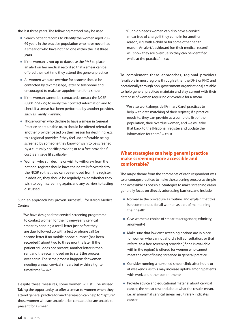the last three years. The following method may be used:

- Search patient records to identify the women aged  $20 -$ 69 years in the practice population who have never had a smear or who have not had one within the last three years
- If the woman is not up to date, use the PMS to place an alert on her medical record so that a smear can be offered the next time they attend the general practice
- All women who are overdue for a smear should be contacted by text message, letter or telephone and encouraged to make an appointment for a smear
- If the woman cannot be contacted, contact the NCSP (0800 729 729) to verify their contact information and to check if a smear has been performed by another provider, such as Family Planning
- Those women who decline to have a smear in General Practice or are unable to, to should be offered referral to another provider based on their reason for declining, e.g. to a regional provider if they feel uncomfortable being screened by someone they know or wish to be screened by a culturally specific provider, or to a free provider if cost is an issue (if available)
- Women who still decline or wish to withdraw from the national register should have their details forwarded to the NCSP, so that they can be removed from the register. In addition, they should be regularly asked whether they wish to begin screening again, and any barriers to testing discussed.

Such an approach has proven successful for Karori Medical Centre:

"We have designed the cervical screening programme to contact women for their three-yearly cervical smear by sending a recall letter just before they are due, followed up with a text or phone call (or second letter if no mobile phone number [has been recorded]) about two to three months later. If the patient still does not present, another letter is then sent and the recall moved on to start the process over again. The same process happens for women needing annual cervical smears but within a tighter timeframe." **— KMC**

Despite these measures, some women will still be missed. Taking the opportunity to offer a smear to women when they attend general practice for another reason can help to "capture" those women who are unable to be contacted or are unable to present for a smear.

"Our high needs women can also have a cervical smear free of charge if they come in for another reason, e.g. with a child or for some other health reason. An alert/dashboard [on their medical record] will show they are overdue so they can be identified while at the practice." **— KMC**

To complement these approaches, regional providers (available in most regions through either the DHB or PHO and occasionally through non-government organisations) are able to help general practices maintain and stay current with their database of women requiring or overdue for a smear.

"We also work alongside [Primary Care] practices to help with data matching of their register, if a practice needs to, they can provide us a complete list of their population, their overdue women, and we will take that back to the [National] register and update the information for them." **— CDHB**

### **What strategies can help general practice make screening more accessible and comfortable?**

The major theme from the comments of each respondent was to encourage practices to make the screening process as simple and accessible as possible. Strategies to make screening easier generally focus on directly addressing barriers, and include:

- Normalise the procedure as routine, and explain that this is recommended for all women as part of maintaining their health
- Give women a choice of smear-taker (gender, ethnicity, anonymity)
- Make sure that low cost screening options are in place for women who cannot afford a full consultation, or that referral to a free screening provider (if one is available within the region) is offered for women who cannot meet the cost of being screened in general practice
- Consider running a nurse-led smear clinic after hours or at weekends, as this may increase uptake among patients with work and other commitments
- **Provide advice and educational material about cervical** cancer, the smear test and about what the results mean, i.e. an abnormal cervical smear result rarely indicates cancer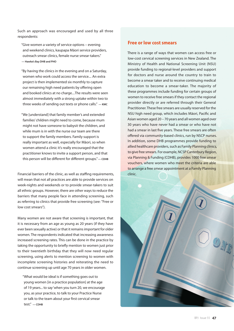Such an approach was encouraged and used by all three respondents:

- "Give women a variety of service options evening and weekend clinics, kaupapa Māori service providers, outreach smear clinics, female nurse smear-takers." **— Hawke's Bay DHB and PHO**
- "By having the clinics in the evening and on a Saturday, women who work could access the service… An extra project is then implemented six monthly to capture our remaining high need patients by offering open and booked clinics at no charge…The results were seen almost immediately with a strong uptake within two to three weeks of sending out texts or phone calls." **— KMC**
- "We [understand] that family member's and extended families' children might need to come, because mum might not have someone to babysit the children, and while mum is in with the nurse our team are there to support the family members. Family support is really important as well, especially for Māori, so when women attend a clinic it's really encouraged that the practitioner knows to invite a support person, and that this person will be different for different groups." **— CDHB**

Financial barriers of the clinic, as well as staffing requirements, will mean that not all practices are able to provide services on week-nights and weekends or to provide smear-takers to suit all ethnic groups. However, there are other ways to reduce the barriers that many people face in attending screening, such as referring to clinics that provide free screening (see: "Free or low cost smears").

Many women are not aware that screening is important, that it is necessary from an age as young as 20 years (if they have ever been sexually active) or that it remains important for older women. The respondents indicated that increasing awareness increased screening rates. This can be done in the practice by taking the opportunity to briefly mention to women just prior to their twentieth birthday that they will now need regular screening, using alerts to mention screening to women with incomplete screening histories and reiterating the need to continue screening up until age 70 years in older women.

"What would be ideal is if something goes out to young women [in a practice population] at the age of 19 years... to say 'when you turn 20, we encourage you, as your practice, to talk to your Practice Nurse or talk to the team about your first cervical smear test." **— CDHB**

## **Free or low cost smears**

There is a range of ways that women can access free or low-cost cervical screening services in New Zealand. The Ministry of Health and National Screening Unit (NSU) provide funding to regional-level providers and support for doctors and nurse around the country to train to become a smear taker and to receive continuing medical education to become a smear-taker. The majority of these programmes include funding for certain groups of women to receive free smears if they contact the regional provider directly or are referred through their General Practitioner. These free smears are usually reserved for the NSU high need group, which includes Māori, Pacific and Asian women aged 20 – 70 years and all women aged over 30 years who have never had a smear or who have not had a smear in last five years. These free smears are often offered via community-based clinics, run by NSCP nurses. In addition, some DHB programmes provide funding to allied healthcare providers, such as Family Planning clinics, to give free smears. For example, NCSP Canterbury Region, via Planning & Funding (CDHB), provides 1000 free smear vouchers, where women who meet the criteria are able to arrange a free smear appointment at a Family Planning clinic.

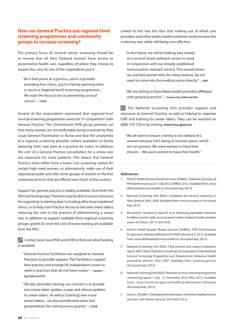# **How can General Practice use regional-level screening programmes and community groups to increase screening?**

The primary focus of cervical cancer screening should be to ensure that all New Zealand women have access to preventative health care, regardless of where they choose to receive this care. As one of the respondents put it:

"Be it that you're at a practice, you're a provider providing free clinics, you're a family planning clinic or you're a [regional level] screening programme... We want the focus to be on preventing cervical cancer." **— CDHB**

Several of the respondents expressed that regional-level cervical screening programmes were not "in competition" with General Practice. The Christchurch DHB group pointed out that many women are uncomfortable being screened by their usual General Practitioner or Nurse and that the anonymity of a regional screening provider (where available) or family planning clinic was seen as a positive for some. In addition, the cost of a General Practice consultation for a smear was too expensive for some patients. This means that General Practice must either have a lower cost screening option for certain high need women, or, alternatively, make use of their regional provider and refer some groups of women to the free screening services that are offered over much of the country.

Support for general practice is widely available, from both the NSU and local groups. Practices may be able to access resources for organising "screening days" or hosting after hours/weekend clinics, or to help train Practice Nurses to become smear takers, reducing the cost to the practice of administering a smear test. In addition to support available from regional screening groups, grants to cover the cost of nurse training are available from the NSU.

 $\mathscr{D}$  Contact your local PHO and DHB to find out what funding is available

"General Practice Facilitators are assigned to General Practices to provide support. The Facilitators support best practice and arrange for independent nurses to work in practices that do not have nurses." **— Hawke's Bay DHB and PHO**

"We also [provide] training, our contract is to provide two smear-taker updates a year, and clinical updates to smear-takers. As well as [training] new nurse smear-takers... we also provide education and presentations for training every quarter." **— CDHB**

Linked to this was the idea that making use of allied care providers and other public health initiatives could increase the screening rate, while still being cost effective.

"In the future, we will be looking very closely at a cervical smear outreach service to work in conjunction with our already established immunisation outreach service. This would ensure we reached women who, for many reasons, do not want to come into the medical centre directly." **— KMC**

"We are aiming to have Māori health providers affiliated with general practices" **— Hawke's Bay DHB and PHO**

 $\mathcal{F}$  The National Screening Unit provides support and resources to General Practice, as well as helping to organise CME and training for smear takers. They can be reached on 0800 729 729 or by visiting: **www.nsu.govt.nz** 

"We all want to ensure a family is not robbed of a woman because she's dying of cervical cancer, which we can prevent. We want women to have their choices…We want women to have their health."

#### **References**

- 1. District Health Boards Shared Services (DHBSS). National summary of PHO performance as at 1 July 2012. DHBSS; 2012. Available from: www. dhbsharedservices.health.nz (Accessed Sep, 2013).
- 2. National Screening Unit (NSU). Guidelines for cervical screening in New Zealand. NSU; 2008. Available from: www.nsu.govt.nz (Accessed Sep, 2013).
- 3. McLeod M, Cormack D, Harris R, et al. Achieving equitable outcomes for Māori women with cervical cancer in New Zealand: health provider views. N Z Med J. 2011;124(1334).
- 4. District Health Boards Shared Services (DHBSS). PHO Performance Programme. Indicator definitions for PHOs. Version 5.5. 2012. Available from: www.dhbsharedservices.health.nz (Accessed Sep, 2013).
- 5. National Screening Unit (NSU). Final process and impact evaluation report 2007, Kahui Tautoko Consulting Ltd. Evaluation of the National Cervical Screening Programme and Breastscreen Aotearoa health promotion services. NSU; 2007. Available from: www.nsu.govt.nz (Accessed Sept, 2013).
- 6. National Screening Unit (NSU). National cervical screening programme - monitoring report 1 July - 31 December 2010. NSU; 2012. Available from: http://www.nsu.govt.nz/health-professionals/1063.aspx (Accessed Sept, 2013).
- 7. Darus C, Mueller J. Development and impact of Human Papillomavirus vaccines. Clin Obstet Gynecol. 2013;56(1):10–6.